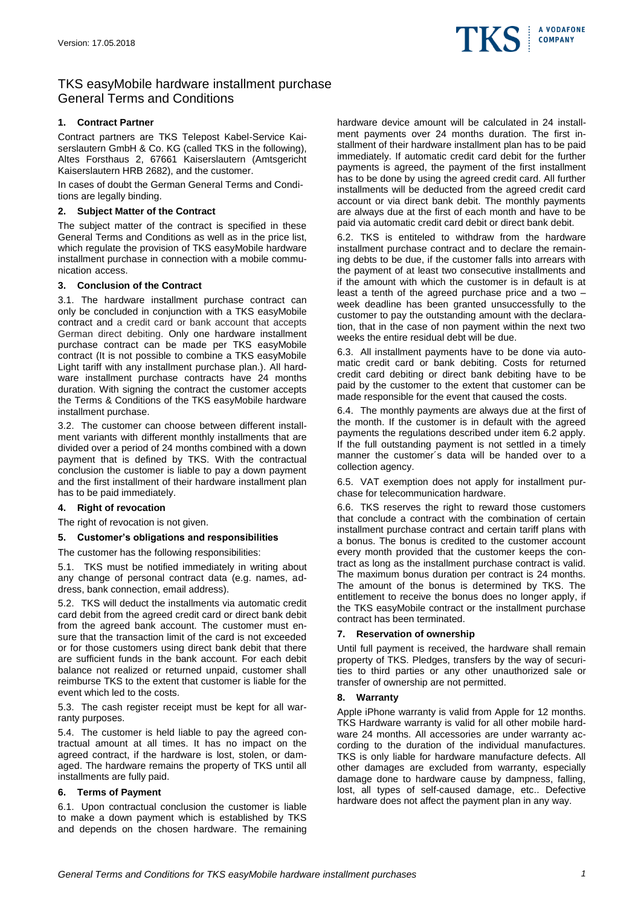

# TKS easyMobile hardware installment purchase General Terms and Conditions

# **1. Contract Partner**

Contract partners are TKS Telepost Kabel-Service Kaiserslautern GmbH & Co. KG (called TKS in the following), Altes Forsthaus 2, 67661 Kaiserslautern (Amtsgericht Kaiserslautern HRB 2682), and the customer.

In cases of doubt the German General Terms and Conditions are legally binding.

## **2. Subject Matter of the Contract**

The subject matter of the contract is specified in these General Terms and Conditions as well as in the price list, which regulate the provision of TKS easyMobile hardware installment purchase in connection with a mobile communication access.

## **3. Conclusion of the Contract**

3.1. The hardware installment purchase contract can only be concluded in conjunction with a TKS easyMobile contract and a credit card or bank account that accepts German direct debiting. Only one hardware installment purchase contract can be made per TKS easyMobile contract (It is not possible to combine a TKS easyMobile Light tariff with any installment purchase plan.). All hardware installment purchase contracts have 24 months duration. With signing the contract the customer accepts the Terms & Conditions of the TKS easyMobile hardware installment purchase.

3.2. The customer can choose between different installment variants with different monthly installments that are divided over a period of 24 months combined with a down payment that is defined by TKS. With the contractual conclusion the customer is liable to pay a down payment and the first installment of their hardware installment plan has to be paid immediately.

### **4. Right of revocation**

The right of revocation is not given.

### **5. Customer's obligations and responsibilities**

The customer has the following responsibilities:

5.1. TKS must be notified immediately in writing about any change of personal contract data (e.g. names, address, bank connection, email address).

5.2. TKS will deduct the installments via automatic credit card debit from the agreed credit card or direct bank debit from the agreed bank account. The customer must ensure that the transaction limit of the card is not exceeded or for those customers using direct bank debit that there are sufficient funds in the bank account. For each debit balance not realized or returned unpaid, customer shall reimburse TKS to the extent that customer is liable for the event which led to the costs.

5.3. The cash register receipt must be kept for all warranty purposes.

5.4. The customer is held liable to pay the agreed contractual amount at all times. It has no impact on the agreed contract, if the hardware is lost, stolen, or damaged. The hardware remains the property of TKS until all installments are fully paid.

### **6. Terms of Payment**

6.1. Upon contractual conclusion the customer is liable to make a down payment which is established by TKS and depends on the chosen hardware. The remaining hardware device amount will be calculated in 24 installment payments over 24 months duration. The first installment of their hardware installment plan has to be paid immediately. If automatic credit card debit for the further payments is agreed, the payment of the first installment has to be done by using the agreed credit card. All further installments will be deducted from the agreed credit card account or via direct bank debit. The monthly payments are always due at the first of each month and have to be paid via automatic credit card debit or direct bank debit.

6.2. TKS is entiteled to withdraw from the hardware installment purchase contract and to declare the remaining debts to be due, if the customer falls into arrears with the payment of at least two consecutive installments and if the amount with which the customer is in default is at least a tenth of the agreed purchase price and a two – week deadline has been granted unsuccessfully to the customer to pay the outstanding amount with the declaration, that in the case of non payment within the next two weeks the entire residual debt will be due.

6.3. All installment payments have to be done via automatic credit card or bank debiting. Costs for returned credit card debiting or direct bank debiting have to be paid by the customer to the extent that customer can be made responsible for the event that caused the costs.

6.4. The monthly payments are always due at the first of the month. If the customer is in default with the agreed payments the regulations described under item 6.2 apply. If the full outstanding payment is not settled in a timely manner the customer´s data will be handed over to a collection agency.

6.5. VAT exemption does not apply for installment purchase for telecommunication hardware.

6.6. TKS reserves the right to reward those customers that conclude a contract with the combination of certain installment purchase contract and certain tariff plans with a bonus. The bonus is credited to the customer account every month provided that the customer keeps the contract as long as the installment purchase contract is valid. The maximum bonus duration per contract is 24 months. The amount of the bonus is determined by TKS. The entitlement to receive the bonus does no longer apply, if the TKS easyMobile contract or the installment purchase contract has been terminated.

### **7. Reservation of ownership**

Until full payment is received, the hardware shall remain property of TKS. Pledges, transfers by the way of securities to third parties or any other unauthorized sale or transfer of ownership are not permitted.

### **8. Warranty**

Apple iPhone warranty is valid from Apple for 12 months. TKS Hardware warranty is valid for all other mobile hardware 24 months. All accessories are under warranty according to the duration of the individual manufactures. TKS is only liable for hardware manufacture defects. All other damages are excluded from warranty, especially damage done to hardware cause by dampness, falling, lost, all types of self-caused damage, etc.. Defective hardware does not affect the payment plan in any way.